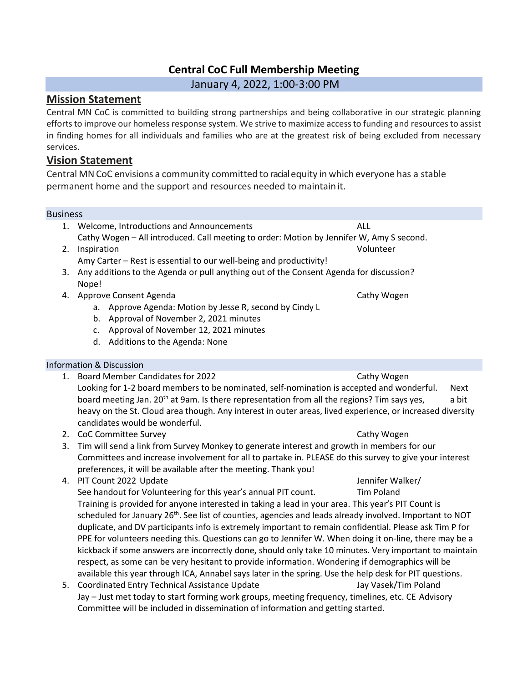# **Central CoC Full Membership Meeting**

January 4, 2022, 1:00-3:00 PM

## **Mission Statement**

Central MN CoC is committed to building strong partnerships and being collaborative in our strategic planning efforts to improve our homeless response system. We strive to maximize access to funding and resources to assist in finding homes for all individuals and families who are at the greatest risk of being excluded from necessary services.

## **Vision Statement**

Central MN CoC envisions a community committed to racialequity in which everyone has a stable permanent home and the support and resources needed to maintain it.

#### Business

|    | Welcome, Introductions and Announcements                                                  | ALL         |
|----|-------------------------------------------------------------------------------------------|-------------|
|    | Cathy Wogen - All introduced. Call meeting to order: Motion by Jennifer W, Amy S second.  |             |
| 2. | Inspiration                                                                               | Volunteer   |
|    | Amy Carter – Rest is essential to our well-being and productivity!                        |             |
|    | 3. Any additions to the Agenda or pull anything out of the Consent Agenda for discussion? |             |
|    | Nope!                                                                                     |             |
| 4. | Approve Consent Agenda                                                                    | Cathy Wogen |
|    | Approve Agenda: Motion by Jesse R, second by Cindy L<br>а.                                |             |

- b. Approval of November 2, 2021 minutes
- c. Approval of November 12, 2021 minutes
- d. Additions to the Agenda: None

### Information & Discussion

- 1. Board Member Candidates for 2022 Cathy Wogen Looking for 1-2 board members to be nominated, self-nomination is accepted and wonderful. Next board meeting Jan. 20<sup>th</sup> at 9am. Is there representation from all the regions? Tim says yes, a bit heavy on the St. Cloud area though. Any interest in outer areas, lived experience, or increased diversity candidates would be wonderful.
- 2. CoC Committee Survey Cathy Wogen Cathy Wogen
- 3. Tim will send a link from Survey Monkey to generate interest and growth in members for our Committees and increase involvement for all to partake in. PLEASE do this survey to give your interest preferences, it will be available after the meeting. Thank you!
- 4. PIT Count 2022 Update According to the Jennifer Walker/ See handout for Volunteering for this year's annual PIT count. Tim Poland Training is provided for anyone interested in taking a lead in your area. This year's PIT Count is scheduled for January 26<sup>th</sup>. See list of counties, agencies and leads already involved. Important to NOT duplicate, and DV participants info is extremely important to remain confidential. Please ask Tim P for PPE for volunteers needing this. Questions can go to Jennifer W. When doing it on-line, there may be a kickback if some answers are incorrectly done, should only take 10 minutes. Very important to maintain respect, as some can be very hesitant to provide information. Wondering if demographics will be available this year through ICA, Annabel says later in the spring. Use the help desk for PIT questions.
- 5. Coordinated Entry Technical Assistance Update Jay Vasek/Tim Poland Jay – Just met today to start forming work groups, meeting frequency, timelines, etc. CE Advisory Committee will be included in dissemination of information and getting started.